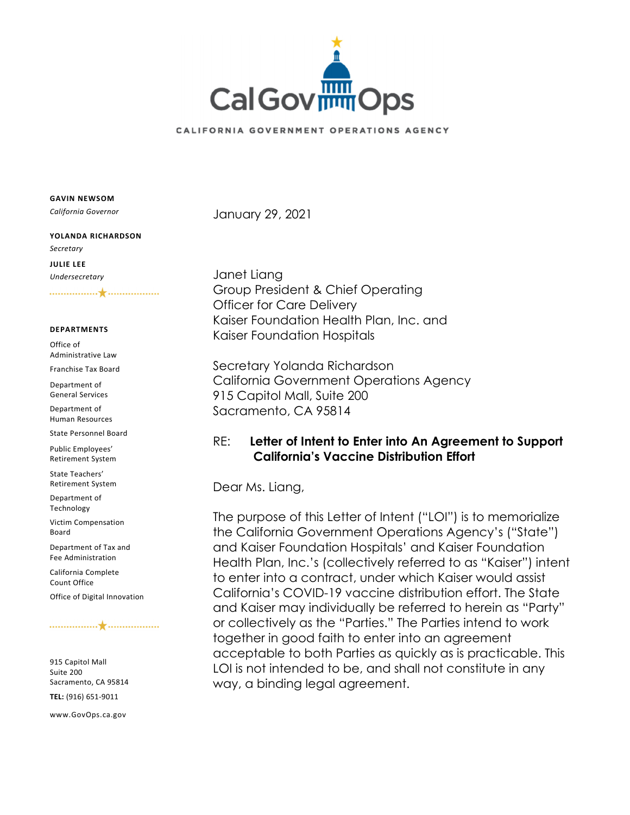

### CALIFORNIA GOVERNMENT OPERATIONS AGENCY

**GAVIN NEWSOM**

*California Governor*

## **YOLANDA RICHARDSON** *Secretary* **JULIE LEE**

*Undersecretary*

#### **DEPARTMENTS**

Office of Administrative Law

Franchise Tax Board

Department of General Services

Department of Human Resources

State Personnel Board

Public Employees' Retirement System

State Teachers' Retirement System

Department of Technology

Victim Compensation Board

Department of Tax and Fee Administration

California Complete Count Office

Office of Digital Innovation

#### 

915 Capitol Mall Suite 200 Sacramento, CA 95814 **TEL:** (916) 651‐9011

www.GovOps.ca.gov

January 29, 2021

Janet Liang Group President & Chief Operating Officer for Care Delivery Kaiser Foundation Health Plan, Inc. and Kaiser Foundation Hospitals

Secretary Yolanda Richardson California Government Operations Agency 915 Capitol Mall, Suite 200 Sacramento, CA 95814

# RE: **Letter of Intent to Enter into An Agreement to Support California's Vaccine Distribution Effort**

Dear Ms. Liang,

The purpose of this Letter of Intent ("LOI") is to memorialize the California Government Operations Agency's ("State") and Kaiser Foundation Hospitals' and Kaiser Foundation Health Plan, Inc.'s (collectively referred to as "Kaiser") intent to enter into a contract, under which Kaiser would assist California's COVID-19 vaccine distribution effort. The State and Kaiser may individually be referred to herein as "Party" or collectively as the "Parties." The Parties intend to work together in good faith to enter into an agreement acceptable to both Parties as quickly as is practicable. This LOI is not intended to be, and shall not constitute in any way, a binding legal agreement.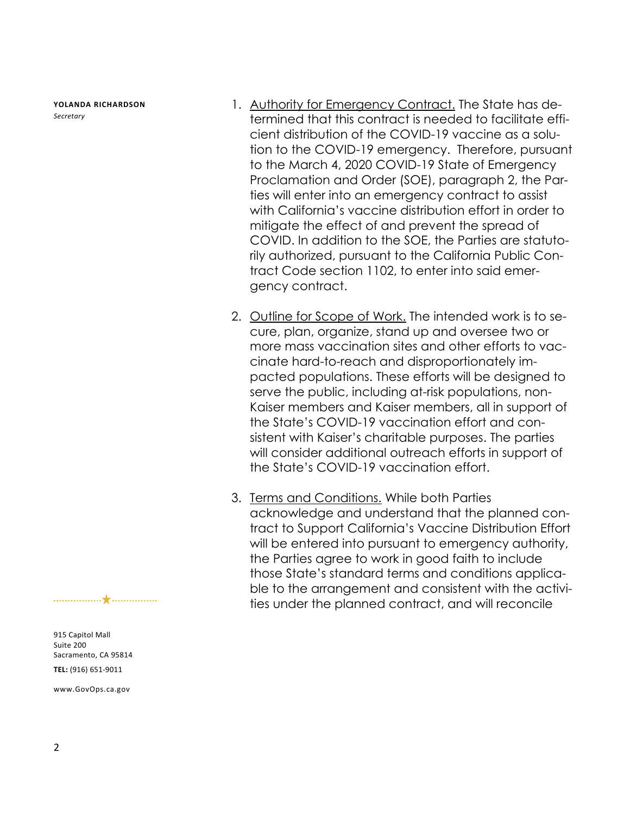**YOLANDA RICHARDSON** *Secretary*

- 1. Authority for Emergency Contract. The State has determined that this contract is needed to facilitate efficient distribution of the COVID-19 vaccine as a solution to the COVID-19 emergency. Therefore, pursuant to the March 4, 2020 COVID-19 State of Emergency Proclamation and Order (SOE), paragraph 2, the Parties will enter into an emergency contract to assist with California's vaccine distribution effort in order to mitigate the effect of and prevent the spread of COVID. In addition to the SOE, the Parties are statutorily authorized, pursuant to the California Public Contract Code section 1102, to enter into said emergency contract.
- 2. Outline for Scope of Work. The intended work is to secure, plan, organize, stand up and oversee two or more mass vaccination sites and other efforts to vaccinate hard-to-reach and disproportionately impacted populations. These efforts will be designed to serve the public, including at-risk populations, non-Kaiser members and Kaiser members, all in support of the State's COVID-19 vaccination effort and consistent with Kaiser's charitable purposes. The parties will consider additional outreach efforts in support of the State's COVID-19 vaccination effort.
- 3. Terms and Conditions. While both Parties acknowledge and understand that the planned contract to Support California's Vaccine Distribution Effort will be entered into pursuant to emergency authority, the Parties agree to work in good faith to include those State's standard terms and conditions applicable to the arrangement and consistent with the activities under the planned contract, and will reconcile

915 Capitol Mall Suite 200 Sacramento, CA 95814 **TEL:** (916) 651‐9011

www.GovOps.ca.gov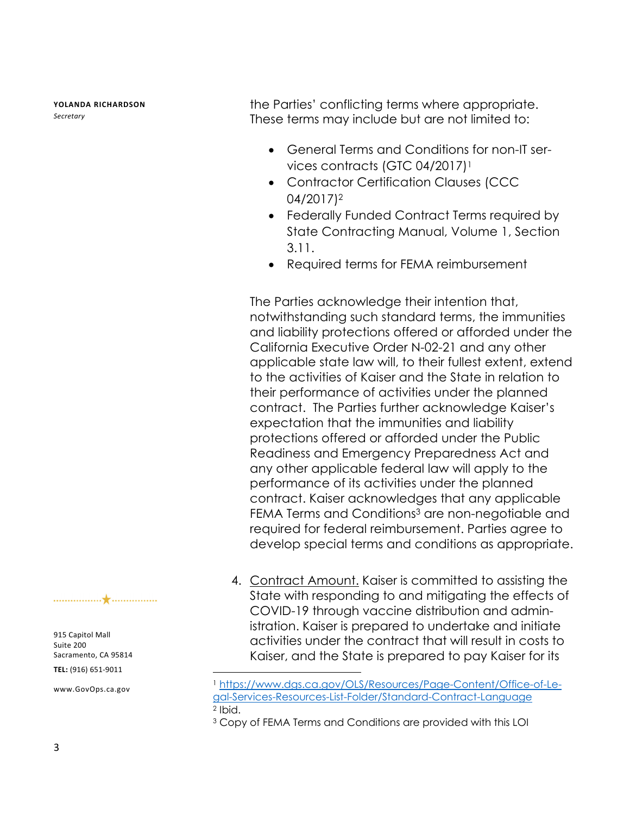**YOLANDA RICHARDSON** *Secretary*

the Parties' conflicting terms where appropriate. These terms may include but are not limited to:

- General Terms and Conditions for non-IT services contracts (GTC 04/2017)<sup>1</sup>
- Contractor Certification Clauses (CCC 04/2017)2
- Federally Funded Contract Terms required by State Contracting Manual, Volume 1, Section 3.11.
- Required terms for FEMA reimbursement

The Parties acknowledge their intention that, notwithstanding such standard terms, the immunities and liability protections offered or afforded under the California Executive Order N-02-21 and any other applicable state law will, to their fullest extent, extend to the activities of Kaiser and the State in relation to their performance of activities under the planned contract. The Parties further acknowledge Kaiser's expectation that the immunities and liability protections offered or afforded under the Public Readiness and Emergency Preparedness Act and any other applicable federal law will apply to the performance of its activities under the planned contract. Kaiser acknowledges that any applicable FEMA Terms and Conditions<sup>3</sup> are non-negotiable and required for federal reimbursement. Parties agree to develop special terms and conditions as appropriate.

4. Contract Amount. Kaiser is committed to assisting the State with responding to and mitigating the effects of COVID-19 through vaccine distribution and administration. Kaiser is prepared to undertake and initiate activities under the contract that will result in costs to Kaiser, and the State is prepared to pay Kaiser for its

 $\overline{a}$ 

915 Capitol Mall Suite 200 Sacramento, CA 95814 **TEL:** (916) 651‐9011

www.GovOps.ca.gov

<sup>1</sup> https://www.dgs.ca.gov/OLS/Resources/Page-Content/Office-of-Legal-Services-Resources-List-Folder/Standard-Contract-Language 2 Ibid.

<sup>3</sup> Copy of FEMA Terms and Conditions are provided with this LOI